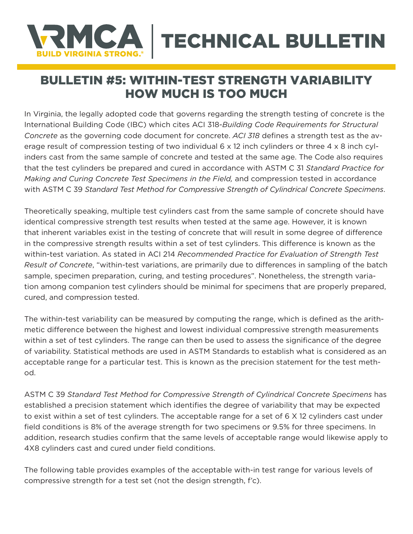## MCA TECHNICAL BULLETIN **JILD VIRGINIA STRONG**

## BULLETIN #5: WITHIN-TEST STRENGTH VARIABILITY HOW MUCH IS TOO MUCH

In Virginia, the legally adopted code that governs regarding the strength testing of concrete is the International Building Code (IBC) which cites ACI 318-*Building Code Requirements for Structural Concrete* as the governing code document for concrete. *ACI 318* defines a strength test as the average result of compression testing of two individual 6 x 12 inch cylinders or three 4 x 8 inch cylinders cast from the same sample of concrete and tested at the same age. The Code also requires that the test cylinders be prepared and cured in accordance with ASTM C 31 *Standard Practice for Making and Curing Concrete Test Specimens in the Field,* and compression tested in accordance with ASTM C 39 *Standard Test Method for Compressive Strength of Cylindrical Concrete Specimens*.

Theoretically speaking, multiple test cylinders cast from the same sample of concrete should have identical compressive strength test results when tested at the same age. However, it is known that inherent variables exist in the testing of concrete that will result in some degree of difference in the compressive strength results within a set of test cylinders. This difference is known as the within-test variation. As stated in ACI 214 *Recommended Practice for Evaluation of Strength Test Result of Concrete*, "within-test variations, are primarily due to differences in sampling of the batch sample, specimen preparation, curing, and testing procedures". Nonetheless, the strength variation among companion test cylinders should be minimal for specimens that are properly prepared, cured, and compression tested.

The within-test variability can be measured by computing the range, which is defined as the arithmetic difference between the highest and lowest individual compressive strength measurements within a set of test cylinders. The range can then be used to assess the significance of the degree of variability. Statistical methods are used in ASTM Standards to establish what is considered as an acceptable range for a particular test. This is known as the precision statement for the test method.

ASTM C 39 *Standard Test Method for Compressive Strength of Cylindrical Concrete Specimens* has established a precision statement which identifies the degree of variability that may be expected to exist within a set of test cylinders. The acceptable range for a set of 6 X 12 cylinders cast under field conditions is 8% of the average strength for two specimens or 9.5% for three specimens. In addition, research studies confirm that the same levels of acceptable range would likewise apply to 4X8 cylinders cast and cured under field conditions.

The following table provides examples of the acceptable with-in test range for various levels of compressive strength for a test set (not the design strength, f'c).